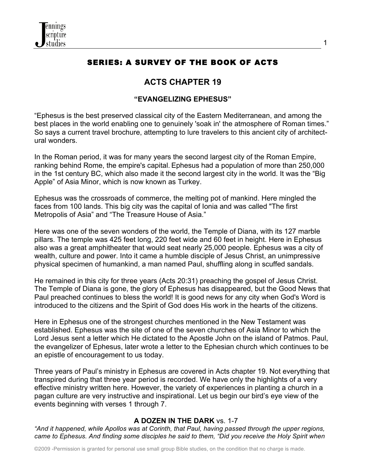

# SERIES: A SURVEY OF THE BOOK OF ACTS

# **ACTS CHAPTER 19 "EVANGELIZING EPHESUS"**

"Ephesus is the best preserved classical city of the Eastern Mediterranean, and among the best places in the world enabling one to genuinely 'soak in' the atmosphere of Roman times." So says a current travel brochure, attempting to lure travelers to this ancient city of architectural wonders.

In the Roman period, it was for many years the second largest city of the Roman Empire, ranking behind Rome, the empire's capital. Ephesus had a population of more than 250,000 in the 1st century BC, which also made it the second largest city in the world. It was the "Big Apple" of Asia Minor, which is now known as Turkey.

Ephesus was the crossroads of commerce, the melting pot of mankind. Here mingled the faces from 100 lands. This big city was the capital of Ionia and was called "The first Metropolis of Asia" and "The Treasure House of Asia."

Here was one of the seven wonders of the world, the Temple of Diana, with its 127 marble pillars. The temple was 425 feet long, 220 feet wide and 60 feet in height. Here in Ephesus also was a great amphitheater that would seat nearly 25,000 people. Ephesus was a city of wealth, culture and power. Into it came a humble disciple of Jesus Christ, an unimpressive physical specimen of humankind, a man named Paul, shuffling along in scuffed sandals.

He remained in this city for three years (Acts 20:31) preaching the gospel of Jesus Christ. The Temple of Diana is gone, the glory of Ephesus has disappeared, but the Good News that Paul preached continues to bless the world! It is good news for any city when God's Word is introduced to the citizens and the Spirit of God does His work in the hearts of the citizens.

Here in Ephesus one of the strongest churches mentioned in the New Testament was established. Ephesus was the site of one of the seven churches of Asia Minor to which the Lord Jesus sent a letter which He dictated to the Apostle John on the island of Patmos. Paul, the evangelizer of Ephesus, later wrote a letter to the Ephesian church which continues to be an epistle of encouragement to us today.

Three years of Paul's ministry in Ephesus are covered in Acts chapter 19. Not everything that transpired during that three year period is recorded. We have only the highlights of a very effective ministry written here. However, the variety of experiences in planting a church in a pagan culture are very instructive and inspirational. Let us begin our bird's eye view of the events beginning with verses 1 through 7.

### **A DOZEN IN THE DARK** vs. 1-7

*"And it happened, while Apollos was at Corinth, that Paul, having passed through the upper regions, came to Ephesus. And finding some disciples he said to them, "Did you receive the Holy Spirit when*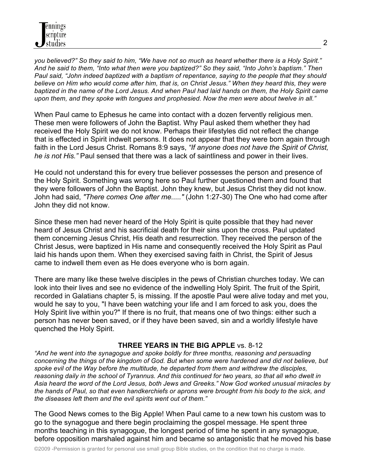*you believed?" So they said to him, "We have not so much as heard whether there is a Holy Spirit." And he said to them, "Into what then were you baptized?" So they said, "Into John's baptism." Then Paul said, "John indeed baptized with a baptism of repentance, saying to the people that they should believe on Him who would come after him, that is, on Christ Jesus." When they heard this, they were baptized in the name of the Lord Jesus. And when Paul had laid hands on them, the Holy Spirit came upon them, and they spoke with tongues and prophesied. Now the men were about twelve in all."*

When Paul came to Ephesus he came into contact with a dozen fervently religious men. These men were followers of John the Baptist. Why Paul asked them whether they had received the Holy Spirit we do not know. Perhaps their lifestyles did not reflect the change that is effected in Spirit indwelt persons. It does not appear that they were born again through faith in the Lord Jesus Christ. Romans 8:9 says, *"If anyone does not have the Spirit of Christ, he is not His."* Paul sensed that there was a lack of saintliness and power in their lives.

He could not understand this for every true believer possesses the person and presence of the Holy Spirit. Something was wrong here so Paul further questioned them and found that they were followers of John the Baptist. John they knew, but Jesus Christ they did not know. John had said, *"There comes One after me....."* (John 1:27-30) The One who had come after John they did not know.

Since these men had never heard of the Holy Spirit is quite possible that they had never heard of Jesus Christ and his sacrificial death for their sins upon the cross. Paul updated them concerning Jesus Christ, His death and resurrection. They received the person of the Christ Jesus, were baptized in His name and consequently received the Holy Spirit as Paul laid his hands upon them. When they exercised saving faith in Christ, the Spirit of Jesus came to indwell them even as He does everyone who is born again.

There are many like these twelve disciples in the pews of Christian churches today. We can look into their lives and see no evidence of the indwelling Holy Spirit. The fruit of the Spirit, recorded in Galatians chapter 5, is missing. If the apostle Paul were alive today and met you, would he say to you, "I have been watching your life and I am forced to ask you, does the Holy Spirit live within you?" If there is no fruit, that means one of two things: either such a person has never been saved, or if they have been saved, sin and a worldly lifestyle have quenched the Holy Spirit.

### **THREE YEARS IN THE BIG APPLE** vs. 8-12

*"And he went into the synagogue and spoke boldly for three months, reasoning and persuading concerning the things of the kingdom of God. But when some were hardened and did not believe, but spoke evil of the Way before the multitude, he departed from them and withdrew the disciples, reasoning daily in the school of Tyrannus. And this continued for two years, so that all who dwelt in Asia heard the word of the Lord Jesus, both Jews and Greeks." Now God worked unusual miracles by the hands of Paul, so that even handkerchiefs or aprons were brought from his body to the sick, and the diseases left them and the evil spirits went out of them."*

The Good News comes to the Big Apple! When Paul came to a new town his custom was to go to the synagogue and there begin proclaiming the gospel message. He spent three months teaching in this synagogue, the longest period of time he spent in any synagogue, before opposition marshaled against him and became so antagonistic that he moved his base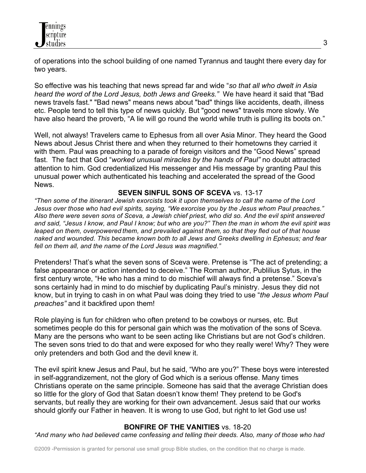of operations into the school building of one named Tyrannus and taught there every day for two years.

So effective was his teaching that news spread far and wide "*so that all who dwelt in Asia heard the word of the Lord Jesus, both Jews and Greeks."* We have heard it said that "Bad news travels fast." "Bad news" means news about "bad" things like accidents, death, illness etc. People tend to tell this type of news quickly. But "good news" travels more slowly. We have also heard the proverb, "A lie will go round the world while truth is pulling its boots on."

Well, not always! Travelers came to Ephesus from all over Asia Minor. They heard the Good News about Jesus Christ there and when they returned to their hometowns they carried it with them. Paul was preaching to a parade of foreign visitors and the "Good News" spread fast. The fact that God "*worked unusual miracles by the hands of Paul"* no doubt attracted attention to him. God credentialized His messenger and His message by granting Paul this unusual power which authenticated his teaching and accelerated the spread of the Good News.

# **SEVEN SINFUL SONS OF SCEVA** vs. 13-17

*"Then some of the itinerant Jewish exorcists took it upon themselves to call the name of the Lord Jesus over those who had evil spirits, saying, "We exorcise you by the Jesus whom Paul preaches." Also there were seven sons of Sceva, a Jewish chief priest, who did so. And the evil spirit answered and said, "Jesus I know, and Paul I know; but who are you?" Then the man in whom the evil spirit was leaped on them, overpowered them, and prevailed against them, so that they fled out of that house naked and wounded. This became known both to all Jews and Greeks dwelling in Ephesus; and fear fell on them all, and the name of the Lord Jesus was magnified."*

Pretenders! That's what the seven sons of Sceva were. Pretense is "The act of pretending; a false appearance or action intended to deceive." The Roman author, Publilius Sytus, in the first century wrote, "He who has a mind to do mischief will always find a pretense." Sceva's sons certainly had in mind to do mischief by duplicating Paul's ministry. Jesus they did not know, but in trying to cash in on what Paul was doing they tried to use "*the Jesus whom Paul preaches"* and it backfired upon them!

Role playing is fun for children who often pretend to be cowboys or nurses, etc. But sometimes people do this for personal gain which was the motivation of the sons of Sceva. Many are the persons who want to be seen acting like Christians but are not God's children. The seven sons tried to do that and were exposed for who they really were! Why? They were only pretenders and both God and the devil knew it.

The evil spirit knew Jesus and Paul, but he said, "Who are you?" These boys were interested in self-aggrandizement, not the glory of God which is a serious offense. Many times Christians operate on the same principle. Someone has said that the average Christian does so little for the glory of God that Satan doesn't know them! They pretend to be God's servants, but really they are working for their own advancement. Jesus said that our works should glorify our Father in heaven. It is wrong to use God, but right to let God use us!

# **BONFIRE OF THE VANITIES** vs. 18-20

*"And many who had believed came confessing and telling their deeds. Also, many of those who had*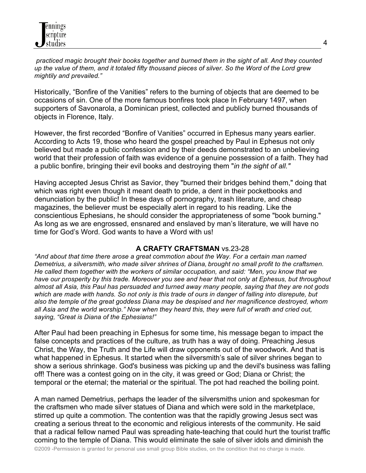*practiced magic brought their books together and burned them in the sight of all. And they counted up the value of them, and it totaled fifty thousand pieces of silver. So the Word of the Lord grew mightily and prevailed."*

Historically, "Bonfire of the Vanities" refers to the burning of objects that are deemed to be occasions of sin. One of the more famous bonfires took place In February 1497, when supporters of Savonarola, a Dominican priest, collected and publicly burned thousands of objects in Florence, Italy.

However, the first recorded "Bonfire of Vanities" occurred in Ephesus many years earlier. According to Acts 19, those who heard the gospel preached by Paul in Ephesus not only believed but made a public confession and by their deeds demonstrated to an unbelieving world that their profession of faith was evidence of a genuine possession of a faith. They had a public bonfire, bringing their evil books and destroying them "*in the sight of all."*

Having accepted Jesus Christ as Savior, they "burned their bridges behind them," doing that which was right even though it meant death to pride, a dent in their pocketbooks and denunciation by the public! In these days of pornography, trash literature, and cheap magazines, the believer must be especially alert in regard to his reading. Like the conscientious Ephesians, he should consider the appropriateness of some "book burning." As long as we are engrossed, ensnared and enslaved by man's literature, we will have no time for God's Word. God wants to have a Word with us!

### **A CRAFTY CRAFTSMAN** vs.23-28

*"And about that time there arose a great commotion about the Way. For a certain man named Demetrius, a silversmith, who made silver shrines of Diana, brought no small profit to the craftsmen. He called them together with the workers of similar occupation, and said: "Men, you know that we have our prosperity by this trade. Moreover you see and hear that not only at Ephesus, but throughout almost all Asia, this Paul has persuaded and turned away many people, saying that they are not gods which are made with hands. So not only is this trade of ours in danger of falling into disrepute, but also the temple of the great goddess Diana may be despised and her magnificence destroyed, whom all Asia and the world worship." Now when they heard this, they were full of wrath and cried out, saying, "Great is Diana of the Ephesians!"*

After Paul had been preaching in Ephesus for some time, his message began to impact the false concepts and practices of the culture, as truth has a way of doing. Preaching Jesus Christ, the Way, the Truth and the Life will draw opponents out of the woodwork. And that is what happened in Ephesus. It started when the silversmith's sale of silver shrines began to show a serious shrinkage. God's business was picking up and the devil's business was falling off! There was a contest going on in the city, it was greed or God; Diana or Christ; the temporal or the eternal; the material or the spiritual. The pot had reached the boiling point.

A man named Demetrius, perhaps the leader of the silversmiths union and spokesman for the craftsmen who made silver statues of Diana and which were sold in the marketplace, stirred up quite a commotion. The contention was that the rapidly growing Jesus sect was creating a serious threat to the economic and religious interests of the community. He said that a radical fellow named Paul was spreading hate-teaching that could hurt the tourist traffic coming to the temple of Diana. This would eliminate the sale of silver idols and diminish the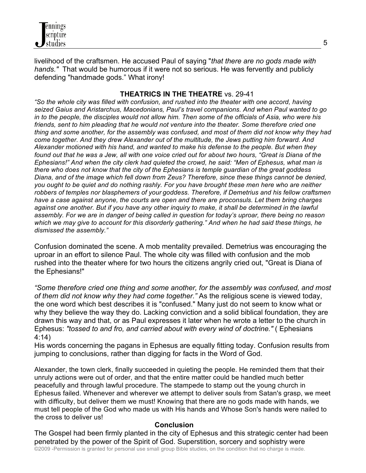livelihood of the craftsmen. He accused Paul of saying "*that there are no gods made with hands."* That would be humorous if it were not so serious. He was fervently and publicly defending "handmade gods." What irony!

# **THEATRICS IN THE THEATRE** vs. 29-41

*"So the whole city was filled with confusion, and rushed into the theater with one accord, having seized Gaius and Aristarchus, Macedonians, Paul's travel companions. And when Paul wanted to go in to the people, the disciples would not allow him. Then some of the officials of Asia, who were his friends, sent to him pleading that he would not venture into the theater. Some therefore cried one thing and some another, for the assembly was confused, and most of them did not know why they had come together. And they drew Alexander out of the multitude, the Jews putting him forward. And Alexander motioned with his hand, and wanted to make his defense to the people. But when they found out that he was a Jew, all with one voice cried out for about two hours, "Great is Diana of the Ephesians!" And when the city clerk had quieted the crowd, he said: "Men of Ephesus, what man is there who does not know that the city of the Ephesians is temple guardian of the great goddess Diana, and of the image which fell down from Zeus? Therefore, since these things cannot be denied, you ought to be quiet and do nothing rashly. For you have brought these men here who are neither robbers of temples nor blasphemers of your goddess. Therefore, if Demetrius and his fellow craftsmen have a case against anyone, the courts are open and there are proconsuls. Let them bring charges*  against one another. But if you have any other inquiry to make, it shall be determined in the lawful *assembly. For we are in danger of being called in question for today's uproar, there being no reason which we may give to account for this disorderly gathering." And when he had said these things, he dismissed the assembly."*

Confusion dominated the scene. A mob mentality prevailed. Demetrius was encouraging the uproar in an effort to silence Paul. The whole city was filled with confusion and the mob rushed into the theater where for two hours the citizens angrily cried out, "Great is Diana of the Ephesians!"

*"Some therefore cried one thing and some another, for the assembly was confused, and most of them did not know why they had come together."* As the religious scene is viewed today, the one word which best describes it is "confused." Many just do not seem to know what or why they believe the way they do. Lacking conviction and a solid biblical foundation, they are drawn this way and that, or as Paul expresses it later when he wrote a letter to the church in Ephesus: *"tossed to and fro, and carried about with every wind of doctrine."* ( Ephesians 4:14)

His words concerning the pagans in Ephesus are equally fitting today. Confusion results from jumping to conclusions, rather than digging for facts in the Word of God.

Alexander, the town clerk, finally succeeded in quieting the people. He reminded them that their unruly actions were out of order, and that the entire matter could be handled much better peacefully and through lawful procedure. The stampede to stamp out the young church in Ephesus failed. Whenever and wherever we attempt to deliver souls from Satan's grasp, we meet with difficulty, but deliver them we must! Knowing that there are no gods made with hands, we must tell people of the God who made us with His hands and Whose Son's hands were nailed to the cross to deliver us!

### **Conclusion**

©2009 -Permission is granted for personal use small group Bible studies, on the condition that no charge is made. The Gospel had been firmly planted in the city of Ephesus and this strategic center had been penetrated by the power of the Spirit of God. Superstition, sorcery and sophistry were

5